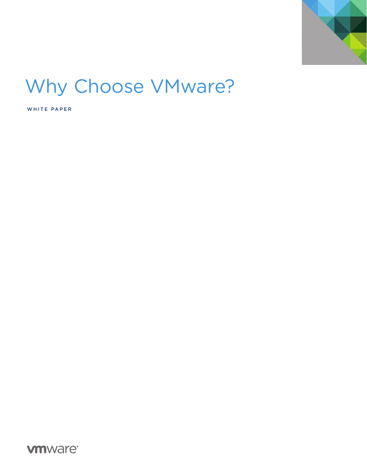

# Why Choose VMware?

WHITE PAPER

**vmware**<sup>®</sup>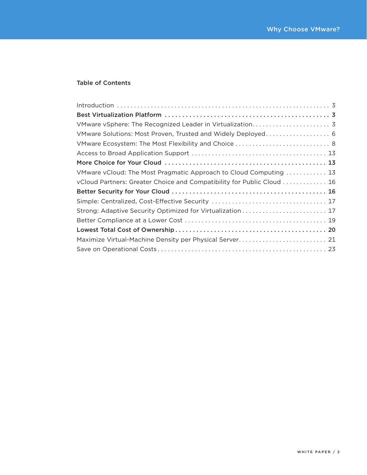# Table of Contents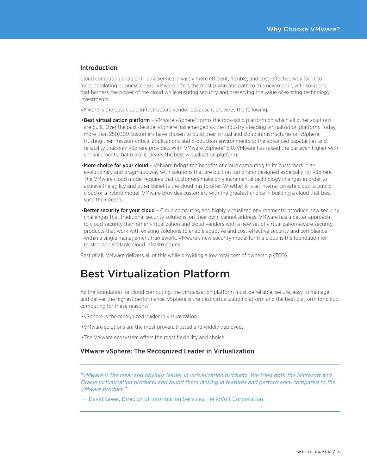# Introduction

Cloud computing enables IT as a Service, a vastly more efficient, flexible, and cost-effective way for IT to meet escalating business needs. VMware offers the most pragmatic path to this new model, with solutions that harness the power of the cloud while ensuring security and preserving the value of existing technology investments.

VMware is the best cloud infrastructure vendor because it provides the following:

- •Best virtualization platform VMware vSphere® forms the rock-solid platform on which all other solutions are built. Over the past decade, vSphere has emerged as the industry's leading virtualization platform. Today, more than 250,000 customers have chosen to build their virtual and cloud infrastructures on vSphere, trusting their mission-critical applications and production environments to the advanced capabilities and reliability that only vSphere provides. With VMware vSphere® 5.0, VMware has raised the bar even higher with enhancements that make it clearly the best virtualization platform.
- More choice for your cloud VMware brings the benefits of cloud computing to its customers in an evolutionary and pragmatic way with solutions that are built on top of and designed especially for vSphere. The VMware cloud model requires that customers make only incremental technology changes in order to achieve the agility and other benefits the cloud has to offer. Whether it is an internal private cloud, a public cloud or a hybrid model, VMware provides customers with the greatest choice in building a cloud that best suits their needs.
- •Better security for your cloud Cloud computing and highly virtualized environments introduce new security challenges that traditional security solutions, on their own, cannot address. VMware has a better approach to cloud security than other virtualization and cloud vendors with a new set of virtualization-aware security products that work with existing solutions to enable adaptive and cost-effective security and compliance within a single management framework. VMware's new security model for the cloud is the foundation for trusted and scalable cloud infrastructures.

Best of all, VMware delivers all of this while providing a low total cost of ownership (TCO).

# Best Virtualization Platform

As the foundation for cloud computing, the virtualization platform must be reliable, secure, easy to manage, and deliver the highest performance. vSphere is the best virtualization platform and the best platform for cloud computing for these reasons:

- vSphere is the recognized leader in virtualization.
- . VMware solutions are the most proven, trusted and widely deployed.
- •The VMware ecosystem offers the most flexibility and choice.

### VMware vSphere: The Recognized Leader in Virtualization

*"VMware is the clear and obvious leader in virtualization products. We tried both the Microsoft and Oracle virtualization products and found them lacking in features and performance compared to the VMware product."*

<span id="page-2-0"></span>— David Greer, Director of Information Services, HelioVolt Corporation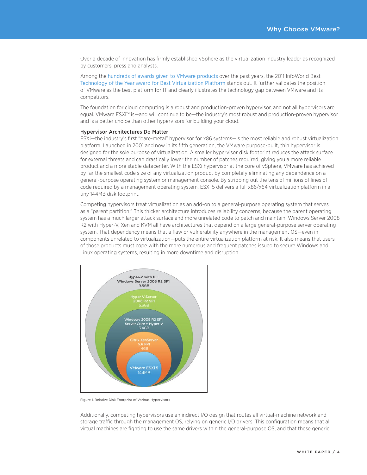Over a decade of innovation has firmly established vSphere as the virtualization industry leader as recognized by customers, press and analysts.

Among the [hundreds of awards given to VMware products](http://www.vmware.com/company/news/awards.html) over the past years, the 2011 InfoWorld Best [Technology of the Year award for Best Virtualization Platform](http://www.infoworld.com/d/infoworld/infoworlds-2011-technology-the-year-award-winners-285¤t=6&last=2#slideshowTop) stands out. It further validates the position of VMware as the best platform for IT and clearly illustrates the technology gap between VMware and its competitors.

The foundation for cloud computing is a robust and production-proven hypervisor, and not all hypervisors are equal. VMware ESXi™ is—and will continue to be—the industry's most robust and production-proven hypervisor and is a better choice than other hypervisors for building your cloud.

#### Hypervisor Architectures Do Matter

ESXi—the industry's first "bare-metal" hypervisor for x86 systems—is the most reliable and robust virtualization platform. Launched in 2001 and now in its fifth generation, the VMware purpose-built, thin hypervisor is designed for the sole purpose of virtualization. A smaller hypervisor disk footprint reduces the attack surface for external threats and can drastically lower the number of patches required, giving you a more reliable product and a more stable datacenter. With the ESXi hypervisor at the core of vSphere, VMware has achieved by far the smallest code size of any virtualization product by completely eliminating any dependence on a general-purpose operating system or management console. By stripping out the tens of millions of lines of code required by a management operating system, ESXi 5 delivers a full x86/x64 virtualization platform in a tiny 144MB disk footprint.

Competing hypervisors treat virtualization as an add-on to a general-purpose operating system that serves as a "parent partition." This thicker architecture introduces reliability concerns, because the parent operating system has a much larger attack surface and more unrelated code to patch and maintain. Windows Server 2008 R2 with Hyper-V, Xen and KVM all have architectures that depend on a large general-purpose server operating system. That dependency means that a flaw or vulnerability anywhere in the management OS—even in components unrelated to virtualization—puts the entire virtualization platform at risk. It also means that users of those products must cope with the more numerous and frequent patches issued to secure Windows and Linux operating systems, resulting in more downtime and disruption.



Figure 1. Relative Disk Footprint of Various Hypervisors

Additionally, competing hypervisors use an indirect I/O design that routes all virtual-machine network and storage traffic through the management OS, relying on generic I/O drivers. This configuration means that all virtual machines are fighting to use the same drivers within the general-purpose OS, and that these generic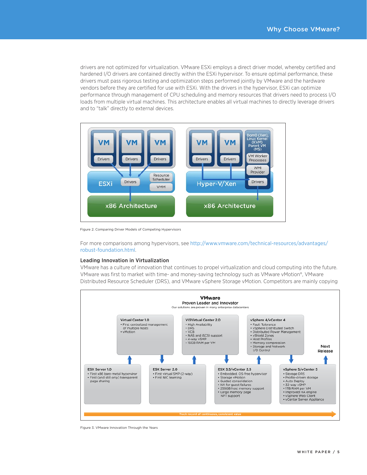drivers are not optimized for virtualization. VMware ESXi employs a direct driver model, whereby certified and hardened I/O drivers are contained directly within the ESXi hypervisor. To ensure optimal performance, these drivers must pass rigorous testing and optimization steps performed jointly by VMware and the hardware vendors before they are certified for use with ESXi. With the drivers in the hypervisor, ESXi can optimize performance through management of CPU scheduling and memory resources that drivers need to process I/O loads from multiple virtual machines. This architecture enables all virtual machines to directly leverage drivers and to "talk" directly to external devices.



Figure 2. Comparing Driver Models of Competing Hypervisors

For more comparisons among hypervisors, see [http://www.vmware.com/technical-resources/advantages/](http://www.vmware.com/technical-resources/advantages/robust-foundation.html) [robust-foundation.html](http://www.vmware.com/technical-resources/advantages/robust-foundation.html).

#### Leading Innovation in Virtualization

VMware has a culture of innovation that continues to propel virtualization and cloud computing into the future. VMware was first to market with time- and money-saving technology such as VMware vMotion®, VMware Distributed Resource Scheduler (DRS), and VMware vSphere Storage vMotion. Competitors are mainly copying



Figure 3. VMware Innovation Through the Years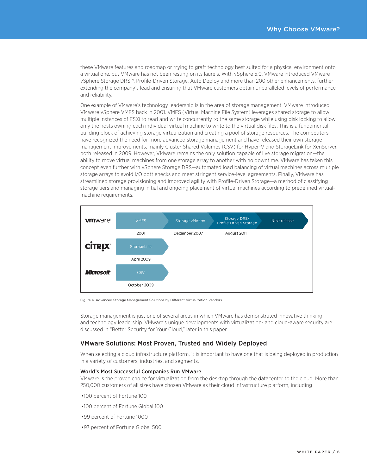these VMware features and roadmap or trying to graft technology best suited for a physical environment onto a virtual one, but VMware has not been resting on its laurels. With vSphere 5.0, VMware introduced VMware vSphere Storage DRS™, Profile-Driven Storage, Auto Deploy and more than 200 other enhancements, further extending the company's lead and ensuring that VMware customers obtain unparalleled levels of performance and reliability.

One example of VMware's technology leadership is in the area of storage management. VMware introduced VMware vSphere VMFS back in 2001. VMFS (Virtual Machine File System) leverages shared storage to allow multiple instances of ESXi to read and write concurrently to the same storage while using disk locking to allow only the hosts owning each individual virtual machine to write to the virtual disk files. This is a fundamental building block of achieving storage virtualization and creating a pool of storage resources. The competitors have recognized the need for more advanced storage management and have released their own storage management improvements, mainly Cluster Shared Volumes (CSV) for Hyper-V and StorageLink for XenServer, both released in 2009. However, VMware remains the only solution capable of live storage migration—the ability to move virtual machines from one storage array to another with no downtime. VMware has taken this concept even further with vSphere Storage DRS—automated load balancing of virtual machines across multiple storage arrays to avoid I/O bottlenecks and meet stringent service-level agreements. Finally, VMware has streamlined storage provisioning and improved agility with Profile-Driven Storage—a method of classifying storage tiers and managing initial and ongoing placement of virtual machines according to predefined virtualmachine requirements.



Figure 4. Advanced Storage Management Solutions by Different Virtualization Vendors

Storage management is just one of several areas in which VMware has demonstrated innovative thinking and technology leadership. VMware's unique developments with virtualization- and cloud-aware security are discussed in "Better Security for Your Cloud," later in this paper.

## VMware Solutions: Most Proven, Trusted and Widely Deployed

When selecting a cloud infrastructure platform, it is important to have one that is being deployed in production in a variety of customers, industries, and segments.

#### World's Most Successful Companies Run VMware

VMware is the proven choice for virtualization from the desktop through the datacenter to the cloud. More than 250,000 customers of all sizes have chosen VMware as their cloud infrastructure platform, including

- •100 percent of Fortune 100
- •100 percent of Fortune Global 100
- •99 percent of Fortune 1000
- <span id="page-5-0"></span>•97 percent of Fortune Global 500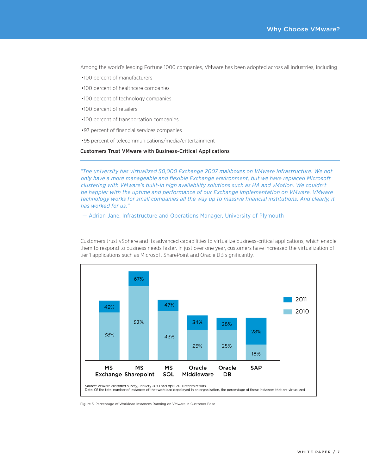Among the world's leading Fortune 1000 companies, VMware has been adopted across all industries, including

- .100 percent of manufacturers
- •100 percent of healthcare companies
- •100 percent of technology companies
- •100 percent of retailers
- •100 percent of transportation companies
- .97 percent of financial services companies
- .95 percent of telecommunications/media/entertainment

**Customers Trust VMware with Business-Critical Applications** 

"The university has virtualized 50,000 Exchange 2007 mailboxes on VMware Infrastructure. We not only have a more manageable and flexible Exchange environment, but we have replaced Microsoft clustering with VMware's built-in high availability solutions such as HA and vMotion. We couldn't be happier with the uptime and performance of our Exchange implementation on VMware. VMware technology works for small companies all the way up to massive financial institutions. And clearly, it has worked for us."

- Adrian Jane, Infrastructure and Operations Manager, University of Plymouth

Customers trust vSphere and its advanced capabilities to virtualize business-critical applications, which enable them to respond to business needs faster. In just over one year, customers have increased the virtualization of tier 1 applications such as Microsoft SharePoint and Oracle DB significantly.



Figure 5. Percentage of Workload Instances Running on VMware in Customer Base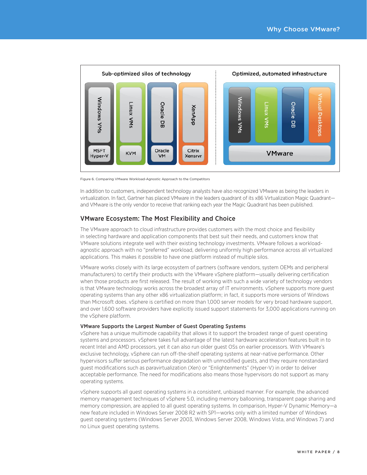

Figure 6. Comparing VMware Workload-Agnostic Approach to the Competitors

In addition to customers, independent technology analysts have also recognized VMware as being the leaders in virtualization. In fact, Gartner has placed VMware in the leaders quadrant of its x86 Virtualization Magic Quadrantand VMware is the only vendor to receive that ranking each year the Magic Quadrant has been published.

# **VMware Ecosystem: The Most Flexibility and Choice**

The VMware approach to cloud infrastructure provides customers with the most choice and flexibility in selecting hardware and application components that best suit their needs, and customers know that VMware solutions integrate well with their existing technology investments. VMware follows a workloadagnostic approach with no "preferred" workload, delivering uniformly high performance across all virtualized applications. This makes it possible to have one platform instead of multiple silos.

VMware works closely with its large ecosystem of partners (software vendors, system OEMs and peripheral manufacturers) to certify their products with the VMware vSphere platform-usually delivering certification when those products are first released. The result of working with such a wide variety of technology vendors is that VMware technology works across the broadest array of IT environments, ySphere supports more quest operating systems than any other x86 virtualization platform; in fact, it supports more versions of Windows than Microsoft does. vSphere is certified on more than 1,000 server models for very broad hardware support, and over 1,600 software providers have explicitly issued support statements for 3,000 applications running on the vSphere platform.

### VMware Supports the Largest Number of Guest Operating Systems

vSphere has a unique multimode capability that allows it to support the broadest range of guest operating systems and processors. vSphere takes full advantage of the latest hardware acceleration features built in to recent Intel and AMD processors, yet it can also run older guest OSs on earlier processors. With VMware's exclusive technology, vSphere can run off-the-shelf operating systems at near-native performance. Other hypervisors suffer serious performance degradation with unmodified quests, and they require nonstandard guest modifications such as paravirtualization (Xen) or "Enlightenments" (Hyper-V) in order to deliver acceptable performance. The need for modifications also means those hypervisors do not support as many operating systems.

<span id="page-7-0"></span>vSphere supports all guest operating systems in a consistent, unbiased manner. For example, the advanced memory management techniques of vSphere 5.0, including memory ballooning, transparent page sharing and memory compression, are applied to all guest operating systems. In comparison, Hyper-V Dynamic Memory-a new feature included in Windows Server 2008 R2 with SP1-works only with a limited number of Windows guest operating systems (Windows Server 2003, Windows Server 2008, Windows Vista, and Windows 7) and no Linux quest operating systems.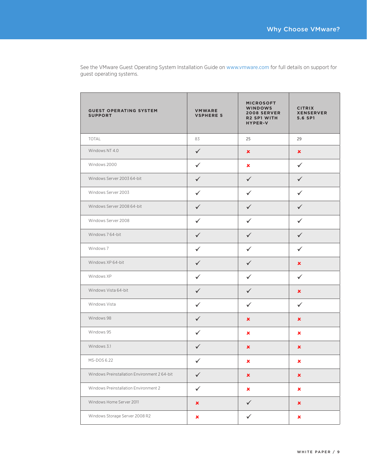| <b>GUEST OPERATING SYSTEM</b><br><b>SUPPORT</b> | <b>VMWARE</b><br><b>VSPHERE 5</b> | <b>MICROSOFT</b><br><b>WINDOWS</b><br><b>2008 SERVER</b><br><b>R2 SP1 WITH</b><br><b>HYPER-V</b> | <b>CITRIX</b><br><b>XENSERVER</b><br>5.6 SP1 |
|-------------------------------------------------|-----------------------------------|--------------------------------------------------------------------------------------------------|----------------------------------------------|
| TOTAL                                           | 83                                | 25                                                                                               | 29                                           |
| Windows NT 4.0                                  | $\checkmark$                      | ×                                                                                                | $\pmb{\times}$                               |
| Windows 2000                                    | $\checkmark$                      | ×                                                                                                | $\checkmark$                                 |
| Windows Server 2003 64-bit                      | $\checkmark$                      | $\checkmark$                                                                                     | $\checkmark$                                 |
| Windows Server 2003                             | $\checkmark$                      | $\checkmark$                                                                                     | $\checkmark$                                 |
| Windows Server 2008 64-bit                      | $\checkmark$                      | $\checkmark$                                                                                     | $\checkmark$                                 |
| Windows Server 2008                             | $\checkmark$                      | $\checkmark$                                                                                     | $\checkmark$                                 |
| Windows 7 64-bit                                | $\checkmark$                      | $\checkmark$                                                                                     | $\checkmark$                                 |
| Windows 7                                       | ✓                                 | ✓                                                                                                | ✓                                            |
| Windows XP 64-bit                               | $\checkmark$                      | $\checkmark$                                                                                     | ×                                            |
| Windows XP                                      | $\checkmark$                      | ✓                                                                                                | $\checkmark$                                 |
| Windows Vista 64-bit                            | $\checkmark$                      | ✓                                                                                                | ×                                            |
| Windows Vista                                   | $\checkmark$                      | $\checkmark$                                                                                     | $\checkmark$                                 |
| Windows 98                                      | $\checkmark$                      | $\pmb{\times}$                                                                                   | ×                                            |
| Windows 95                                      | $\checkmark$                      | ×                                                                                                | ×                                            |
| Windows 3.1                                     | $\checkmark$                      | ×                                                                                                | ×                                            |
| MS-DOS 6.22                                     | $\checkmark$                      | ×                                                                                                | ×                                            |
| Windows Preinstallation Environment 2 64-bit    | $\checkmark$                      | ×                                                                                                | ×                                            |
| Windows Preinstallation Environment 2           | $\checkmark$                      | ×                                                                                                | ×                                            |
| Windows Home Server 2011                        | ×                                 | $\checkmark$                                                                                     | ×                                            |
| Windows Storage Server 2008 R2                  | ×                                 | $\checkmark$                                                                                     | ×                                            |

See the VMware Guest Operating System Installation Guide on www.vmware.com for full details on support for guest operating systems.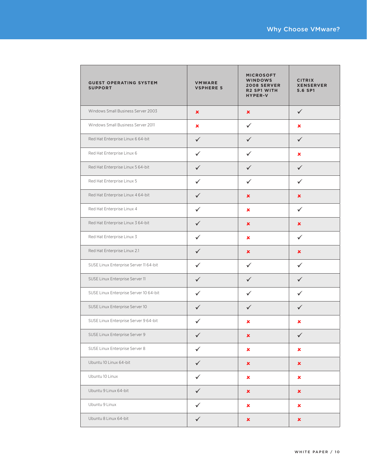| <b>GUEST OPERATING SYSTEM</b><br><b>SUPPORT</b> | <b>VMWARE</b><br><b>VSPHERE 5</b> | <b>MICROSOFT</b><br><b>WINDOWS</b><br><b>2008 SERVER</b><br><b>R2 SP1 WITH</b><br><b>HYPER-V</b> | <b>CITRIX</b><br><b>XENSERVER</b><br>5.6 SP1 |
|-------------------------------------------------|-----------------------------------|--------------------------------------------------------------------------------------------------|----------------------------------------------|
| Windows Small Business Server 2003              | $\pmb{\times}$                    | $\pmb{\times}$                                                                                   | $\checkmark$                                 |
| Windows Small Business Server 2011              | ×                                 | ✓                                                                                                | ×                                            |
| Red Hat Enterprise Linux 6 64-bit               | $\checkmark$                      | $\checkmark$                                                                                     | $\checkmark$                                 |
| Red Hat Enterprise Linux 6                      | $\checkmark$                      | ✓                                                                                                | ×                                            |
| Red Hat Enterprise Linux 5 64-bit               | $\checkmark$                      | $\checkmark$                                                                                     | $\checkmark$                                 |
| Red Hat Enterprise Linux 5                      | $\checkmark$                      | ✓                                                                                                | ✓                                            |
| Red Hat Enterprise Linux 4 64-bit               | $\checkmark$                      | $\pmb{\times}$                                                                                   | $\pmb{\times}$                               |
| Red Hat Enterprise Linux 4                      | $\checkmark$                      | ×                                                                                                | ✓                                            |
| Red Hat Enterprise Linux 3 64-bit               | $\checkmark$                      | $\pmb{\times}$                                                                                   | $\pmb{\times}$                               |
| Red Hat Enterprise Linux 3                      | $\checkmark$                      | ×                                                                                                | $\checkmark$                                 |
| Red Hat Enterprise Linux 2.1                    | $\checkmark$                      | ×                                                                                                | ×                                            |
| SUSE Linux Enterprise Server 11 64-bit          | ✓                                 | ✓                                                                                                | ✓                                            |
| SUSE Linux Enterprise Server 11                 | $\checkmark$                      | ✓                                                                                                | ✓                                            |
| SUSE Linux Enterprise Server 10 64-bit          | $\checkmark$                      | ✓                                                                                                | ✓                                            |
| SUSE Linux Enterprise Server 10                 | $\checkmark$                      | $\checkmark$                                                                                     | $\checkmark$                                 |
| SUSE Linux Enterprise Server 9 64-bit           | $\checkmark$                      | ×                                                                                                | ×                                            |
| SUSE Linux Enterprise Server 9                  | $\checkmark$                      | $\pmb{\times}$                                                                                   | $\checkmark$                                 |
| SUSE Linux Enterprise Server 8                  | $\checkmark$                      | $\pmb{\times}$                                                                                   | $\pmb{\times}$                               |
| Ubuntu 10 Linux 64-bit                          | $\checkmark$                      | ×                                                                                                | ×                                            |
| Ubuntu 10 Linux                                 | $\checkmark$                      | ×                                                                                                | ×                                            |
| Ubuntu 9 Linux 64-bit                           | $\checkmark$                      | $\pmb{\times}$                                                                                   | ×                                            |
| Ubuntu 9 Linux                                  | $\checkmark$                      | $\pmb{\times}$                                                                                   | ×                                            |
| Ubuntu 8 Linux 64-bit                           | $\checkmark$                      | ×                                                                                                | ×                                            |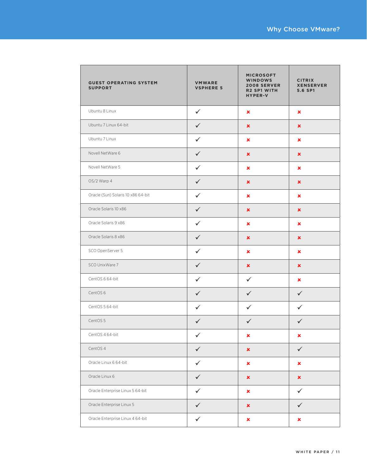| <b>GUEST OPERATING SYSTEM</b><br><b>SUPPORT</b> | <b>VMWARE</b><br><b>VSPHERE 5</b> | <b>MICROSOFT</b><br><b>WINDOWS</b><br><b>2008 SERVER</b><br><b>R2 SP1 WITH</b><br><b>HYPER-V</b> | <b>CITRIX</b><br><b>XENSERVER</b><br>5.6 SP1 |
|-------------------------------------------------|-----------------------------------|--------------------------------------------------------------------------------------------------|----------------------------------------------|
| Ubuntu 8 Linux                                  | $\checkmark$                      | ×                                                                                                | ×                                            |
| Ubuntu 7 Linux 64-bit                           | $\checkmark$                      | $\pmb{\times}$                                                                                   | $\pmb{\times}$                               |
| Ubuntu 7 Linux                                  | $\checkmark$                      | ×                                                                                                | ×                                            |
| Novell NetWare 6                                | $\checkmark$                      | ×                                                                                                | ×                                            |
| Novell NetWare 5                                | $\checkmark$                      | ×                                                                                                | ×                                            |
| OS/2 Warp 4                                     | $\checkmark$                      | ×                                                                                                | $\pmb{\times}$                               |
| Oracle (Sun) Solaris 10 x86 64-bit              | $\checkmark$                      | ×                                                                                                | $\pmb{\times}$                               |
| Oracle Solaris 10 x86                           | $\checkmark$                      | $\pmb{\times}$                                                                                   | $\pmb{\times}$                               |
| Oracle Solaris 9 x86                            | $\checkmark$                      | ×                                                                                                | ×                                            |
| Oracle Solaris 8 x86                            | $\checkmark$                      | $\pmb{\times}$                                                                                   | ×                                            |
| SCO OpenServer 5                                | $\checkmark$                      | ×                                                                                                | $\pmb{\times}$                               |
| SCO UnixWare 7                                  | $\checkmark$                      | ×                                                                                                | ×                                            |
| CentOS 6 64-bit                                 | $\checkmark$                      | ✓                                                                                                | ×                                            |
| CentOS <sub>6</sub>                             | $\checkmark$                      | $\checkmark$                                                                                     | $\checkmark$                                 |
| CentOS 5 64-bit                                 | $\checkmark$                      | $\checkmark$                                                                                     | $\checkmark$                                 |
| CentOS 5                                        | $\checkmark$                      | $\checkmark$                                                                                     | $\checkmark$                                 |
| CentOS 4 64-bit                                 | $\checkmark$                      | ×                                                                                                | ×                                            |
| CentOS 4                                        | $\checkmark$                      | $\pmb{\times}$                                                                                   | $\checkmark$                                 |
| Oracle Linux 6 64-bit                           | $\checkmark$                      | $\pmb{\times}$                                                                                   | $\pmb{\times}$                               |
| Oracle Linux 6                                  | $\checkmark$                      | $\pmb{\times}$                                                                                   | $\pmb{\times}$                               |
| Oracle Enterprise Linux 5 64-bit                | ✓                                 | ×                                                                                                | $\checkmark$                                 |
| Oracle Enterprise Linux 5                       | $\checkmark$                      | $\pmb{\times}$                                                                                   | $\checkmark$                                 |
| Oracle Enterprise Linux 4 64-bit                | $\checkmark$                      | $\pmb{\times}$                                                                                   | $\pmb{\times}$                               |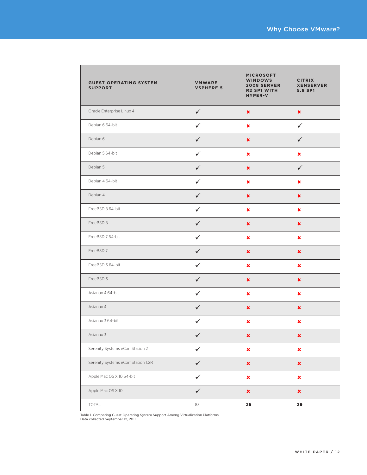| <b>GUEST OPERATING SYSTEM</b><br><b>SUPPORT</b> | <b>VMWARE</b><br><b>VSPHERE 5</b> | <b>MICROSOFT</b><br><b>WINDOWS</b><br><b>2008 SERVER</b><br><b>R2 SP1 WITH</b><br><b>HYPER-V</b> | <b>CITRIX</b><br><b>XENSERVER</b><br>5.6 SP1 |
|-------------------------------------------------|-----------------------------------|--------------------------------------------------------------------------------------------------|----------------------------------------------|
| Oracle Enterprise Linux 4                       | $\checkmark$                      | $\pmb{\times}$                                                                                   | $\pmb{\times}$                               |
| Debian 6 64-bit                                 | $\checkmark$                      | ×                                                                                                | $\checkmark$                                 |
| Debian 6                                        | $\checkmark$                      | ×                                                                                                | $\checkmark$                                 |
| Debian 5 64-bit                                 | $\checkmark$                      | ×                                                                                                | ×                                            |
| Debian 5                                        | $\checkmark$                      | $\pmb{\times}$                                                                                   | $\checkmark$                                 |
| Debian 4 64-bit                                 | $\checkmark$                      | ×                                                                                                | $\pmb{\times}$                               |
| Debian 4                                        | $\checkmark$                      | $\pmb{\times}$                                                                                   | $\pmb{\times}$                               |
| FreeBSD 8 64-bit                                | $\checkmark$                      | ×                                                                                                | ×                                            |
| FreeBSD 8                                       | $\checkmark$                      | $\pmb{\times}$                                                                                   | $\pmb{\times}$                               |
| FreeBSD 764-bit                                 | $\checkmark$                      | ×                                                                                                | ×                                            |
| FreeBSD 7                                       | $\checkmark$                      | ×                                                                                                | ×                                            |
| FreeBSD 6 64-bit                                | $\checkmark$                      | ×                                                                                                | ×                                            |
| FreeBSD 6                                       | $\checkmark$                      | ×                                                                                                | ×                                            |
| Asianux 4 64-bit                                | $\checkmark$                      | ×                                                                                                | ×                                            |
| Asianux 4                                       | $\checkmark$                      | ×                                                                                                | $\pmb{\times}$                               |
| Asianux 3 64-bit                                | $\checkmark$                      | ×                                                                                                | $\pmb{\times}$                               |
| Asianux 3                                       | $\checkmark$                      | ×                                                                                                | $\pmb{\times}$                               |
| Serenity Systems eComStation 2                  | $\checkmark$                      | $\pmb{\times}$                                                                                   | $\pmb{\times}$                               |
| Serenity Systems eComStation 1.2R               | $\checkmark$                      | $\pmb{\times}$                                                                                   | $\pmb{\times}$                               |
| Apple Mac OS X 10 64-bit                        | $\checkmark$                      | ×                                                                                                | ×                                            |
| Apple Mac OS X 10                               | $\checkmark$                      | $\pmb{\times}$                                                                                   | $\pmb{\times}$                               |
| TOTAL                                           | 83                                | 25                                                                                               | 29                                           |

Table 1. Comparing Guest Operating System Support Among Virtualization Platforms Data collected September 12, 2011

**r**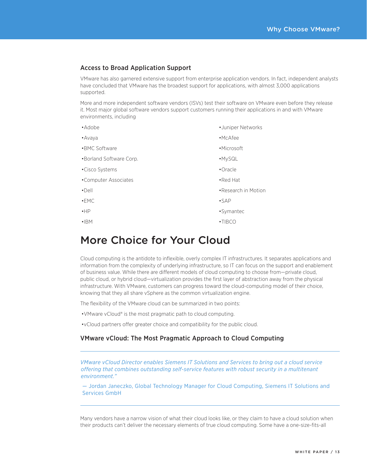# Access to Broad Application Support

VMware has also garnered extensive support from enterprise application vendors. In fact, independent analysts have concluded that VMware has the broadest support for applications, with almost 3,000 applications supported.

More and more independent software vendors (ISVs) test their software on VMware even before they release it. Most major global software vendors support customers running their applications in and with VMware environments, including

- Adobe
- •Avava
- BMC Software
- •Borland Software Corp.
- Cisco Systems
- •Computer Associates
- $\cdot$ Dell
- $-EMC$
- $\bullet$ HP
- $\cdot$  $\mathsf{IBM}$
- Juniper Networks
- · McAfee
- •Microsoft
- ·MySQL
- •Oracle
- $\bullet$  Red Hat
- Research in Motion
- $-SAP$
- •Symantec
- •TIBCO

# More Choice for Your Cloud

Cloud computing is the antidote to inflexible, overly complex IT infrastructures. It separates applications and information from the complexity of underlying infrastructure, so IT can focus on the support and enablement of business value. While there are different models of cloud computing to choose from—private cloud, public cloud, or hybrid cloud—virtualization provides the first layer of abstraction away from the physical infrastructure. With VMware, customers can progress toward the cloud-computing model of their choice, knowing that they all share vSphere as the common virtualization engine.

The flexibility of the VMware cloud can be summarized in two points:

- VM ware vCloud® is the most pragmatic path to cloud computing.
- •vCloud partners offer greater choice and compatibility for the public cloud.

# VMware vCloud: The Most Pragmatic Approach to Cloud Computing

*VMware vCloud Director enables Siemens IT Solutions and Services to bring out a cloud service offering that combines outstanding self-service features with robust security in a multitenant environment."*

— Jordan Janeczko, Global Technology Manager for Cloud Computing, Siemens IT Solutions and Services GmbH

<span id="page-12-0"></span>Many vendors have a narrow vision of what their cloud looks like, or they claim to have a cloud solution when their products can't deliver the necessary elements of true cloud computing. Some have a one-size-fits-all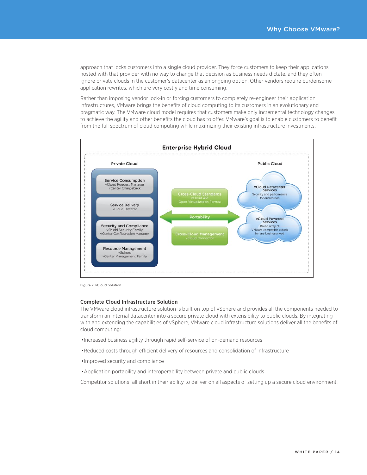approach that locks customers into a single cloud provider. They force customers to keep their applications hosted with that provider with no way to change that decision as business needs dictate, and they often ignore private clouds in the customer's datacenter as an ongoing option. Other vendors require burdensome application rewrites, which are very costly and time consuming.

Rather than imposing vendor lock-in or forcing customers to completely re-engineer their application infrastructures, VMware brings the benefits of cloud computing to its customers in an evolutionary and pragmatic way. The VMware cloud model requires that customers make only incremental technology changes to achieve the agility and other benefits the cloud has to offer. VMware's goal is to enable customers to benefit from the full spectrum of cloud computing while maximizing their existing infrastructure investments.



Figure 7. vCloud Solution

#### **Complete Cloud Infrastructure Solution**

The VMware cloud infrastructure solution is built on top of vSphere and provides all the components needed to transform an internal datacenter into a secure private cloud with extensibility to public clouds. By integrating with and extending the capabilities of vSphere, VMware cloud infrastructure solutions deliver all the benefits of cloud computing:

- . Increased business agility through rapid self-service of on-demand resources
- •Reduced costs through efficient delivery of resources and consolidation of infrastructure
- ·Improved security and compliance
- Application portability and interoperability between private and public clouds

Competitor solutions fall short in their ability to deliver on all aspects of setting up a secure cloud environment.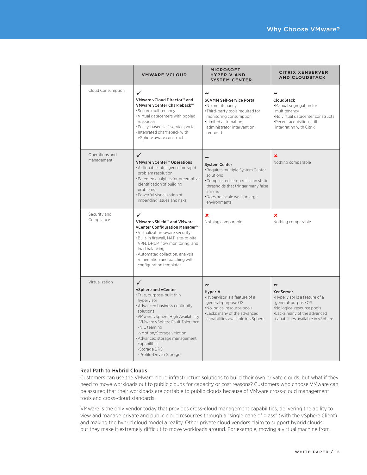|                              | <b><i>VMWARE VCLOUD</i></b>                                                                                                                                                                                                                                                                                                                  | <b>MICROSOFT</b><br><b>HYPER-V AND</b><br><b>SYSTEM CENTER</b>                                                                                                                                                                          | <b>CITRIX XENSERVER</b><br><b>AND CLOUDSTACK</b>                                                                                                                                           |
|------------------------------|----------------------------------------------------------------------------------------------------------------------------------------------------------------------------------------------------------------------------------------------------------------------------------------------------------------------------------------------|-----------------------------------------------------------------------------------------------------------------------------------------------------------------------------------------------------------------------------------------|--------------------------------------------------------------------------------------------------------------------------------------------------------------------------------------------|
| Cloud Consumption            | ✓<br>VMware vCloud Director™ and<br>VMware vCenter Chargeback™<br>•Secure multitenancy<br>.Virtual datacenters with pooled<br>resources<br>•Policy-based self-service portal<br>·Integrated chargeback with<br>vSphere aware constructs                                                                                                      | $\tilde{\phantom{a}}$<br><b>SCVMM Self-Service Portal</b><br>.No multitenancy<br>. Third-party tools required for<br>monitoring consumption<br>•Limited automation:<br>administrator intervention<br>required                           | $\tilde{\phantom{a}}$<br><b>CloudStack</b><br>•Manual segregation for<br>multitenancy<br>.No virtual datacenter constructs<br>•Recent acquisition, still<br>integrating with Citrix        |
| Operations and<br>Management | $\checkmark$<br>VMware vCenter™ Operations<br>• Actionable intelligence for rapid<br>problem resolution<br>•Patented analytics for preemptive<br>identification of building<br>problems<br>•Powerful visualization of<br>impending issues and risks                                                                                          | $\tilde{\phantom{a}}$<br><b>System Center</b><br>•Requires multiple System Center<br>solutions<br>•Complicated setup relies on static<br>thresholds that trigger many false<br>alarms<br>•Does not scale well for large<br>environments | ×<br>Nothing comparable                                                                                                                                                                    |
| Security and<br>Compliance   | $\checkmark$<br>VMware vShield™ and VMware<br>vCenter Configuration Manager™<br>·Virtualization-aware security<br>.Built-in firewall, NAT, site-to-site<br>VPN, DHCP, flow monitoring, and<br>load balancing<br>•Automated collection, analysis,<br>remediation and patching with<br>configuration templates                                 | ×<br>Nothing comparable                                                                                                                                                                                                                 | ×<br>Nothing comparable                                                                                                                                                                    |
| Virtualization               | $\checkmark$<br>vSphere and vCenter<br>•True, purpose-built thin<br>hypervisor<br>• Advanced business continuity<br>solutions<br>-VMware vSphere High Availability<br>-VMware vSphere Fault Tolerance<br>-NIC teaming<br>-vMotion/Storage vMotion<br>•Advanced storage management<br>capabilities<br>-Storage DRS<br>-Profile-Driven Storage | $\tilde{\phantom{a}}$<br>Hyper-V<br>•Hypervisor is a feature of a<br>general-purpose OS<br>.No logical resource pools<br>•Lacks many of the advanced<br>capabilities available in vSphere                                               | $\rightarrow$<br><b>XenServer</b><br>•Hypervisor is a feature of a<br>general-purpose OS<br>.No logical resource pools<br>•Lacks many of the advanced<br>capabilities available in vSphere |

### **Real Path to Hybrid Clouds**

Customers can use the VMware cloud infrastructure solutions to build their own private clouds, but what if they need to move workloads out to public clouds for capacity or cost reasons? Customers who choose VMware can be assured that their workloads are portable to public clouds because of VMware cross-cloud management tools and cross-cloud standards.

VMware is the only vendor today that provides cross-cloud management capabilities, delivering the ability to view and manage private and public cloud resources through a "single pane of glass" (with the vSphere Client) and making the hybrid cloud model a reality. Other private cloud vendors claim to support hybrid clouds, but they make it extremely difficult to move workloads around. For example, moving a virtual machine from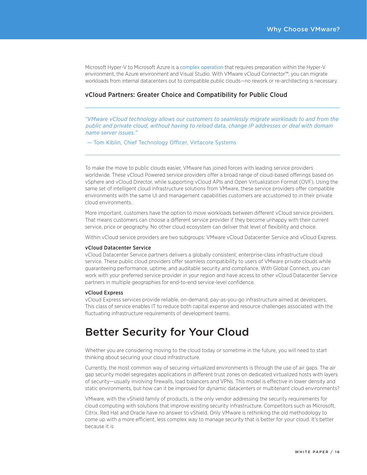Microsoft Hyper-V to Microsoft Azure is a complex operation that requires preparation within the Hyper-V environment, the Azure environment and Visual Studio. With VMware vCloud Connector™, you can migrate workloads from internal datacenters out to compatible public clouds-no rework or re-architecting is necessary.

### **vCloud Partners: Greater Choice and Compatibility for Public Cloud**

"VMware vCloud technology allows our customers to seamlessly migrate workloads to and from the public and private cloud, without having to reload data, change IP addresses or deal with domain name server issues."

- Tom Kiblin, Chief Technology Officer, Virtacore Systems

To make the move to public clouds easier, VMware has joined forces with leading service providers worldwide. These vCloud Powered service providers offer a broad range of cloud-based offerings based on vSphere and vCloud Director, while supporting vCloud APIs and Open Virtualization Format (OVF). Using the same set of intelligent cloud infrastructure solutions from VMware, these service providers offer compatible environments with the same UI and management capabilities customers are accustomed to in their private cloud environments.

More important, customers have the option to move workloads between different vCloud service providers. That means customers can choose a different service provider if they become unhappy with their current service, price or geography. No other cloud ecosystem can deliver that level of flexibility and choice.

Within vCloud service providers are two subgroups: VMware vCloud Datacenter Service and vCloud Express.

#### vCloud Datacenter Service

vCloud Datacenter Service partners delivers a globally consistent, enterprise-class infrastructure cloud service. These public cloud providers offer seamless compatibility to users of VMware private clouds while guaranteeing performance, uptime, and auditable security and compliance. With Global Connect, you can work with your preferred service provider in your region and have access to other yCloud Datacenter Service partners in multiple geographies for end-to-end service-level confidence.

#### vCloud Express

vCloud Express services provide reliable, on-demand, pay-as-you-go infrastructure aimed at developers. This class of service enables IT to reduce both capital expense and resource challenges associated with the fluctuating infrastructure requirements of development teams.

# **Better Security for Your Cloud**

Whether you are considering moving to the cloud today or sometime in the future, you will need to start thinking about securing your cloud infrastructure.

Currently, the most common way of securing virtualized environments is through the use of air gaps. The air gap security model segregates applications in different trust zones on dedicated virtualized hosts with layers of security—usually involving firewalls, load balancers and VPNs. This model is effective in lower density and static environments, but how can it be improved for dynamic datacenters or multitenant cloud environments?

<span id="page-15-0"></span>VMware, with the vShield family of products, is the only vendor addressing the security requirements for cloud computing with solutions that improve existing security infrastructure. Competitors such as Microsoft, Citrix, Red Hat and Oracle have no answer to vShield. Only VMware is rethinking the old methodology to come up with a more efficient, less complex way to manage security that is better for your cloud. It's better because it is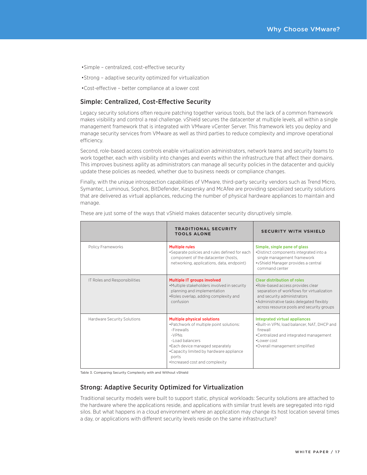- •Simple centralized, cost-effective security
- •Strong adaptive security optimized for virtualization
- •Cost-effective better compliance at a lower cost

# Simple: Centralized, Cost-Effective Security

Legacy security solutions often require patching together various tools, but the lack of a common framework makes visibility and control a real challenge. vShield secures the datacenter at multiple levels, all within a single management framework that is integrated with VMware vCenter Server. This framework lets you deploy and manage security services from VMware as well as third parties to reduce complexity and improve operational efficiency.

Second, role-based access controls enable virtualization administrators, network teams and security teams to work together, each with visibility into changes and events within the infrastructure that affect their domains. This improves business agility as administrators can manage all security policies in the datacenter and quickly update these policies as needed, whether due to business needs or compliance changes.

Finally, with the unique introspection capabilities of VMware, third-party security vendors such as Trend Micro, Symantec, Luminous, Sophos, BitDefender, Kaspersky and McAfee are providing specialized security solutions that are delivered as virtual appliances, reducing the number of physical hardware appliances to maintain and manage.

|                               | <b>TRADITIONAL SECURITY</b><br><b>TOOLS ALONE</b>                                                                                                                                                                                                    | <b>SECURITY WITH VSHIELD</b>                                                                                                                                                                                                           |
|-------------------------------|------------------------------------------------------------------------------------------------------------------------------------------------------------------------------------------------------------------------------------------------------|----------------------------------------------------------------------------------------------------------------------------------------------------------------------------------------------------------------------------------------|
| Policy Frameworks             | <b>Multiple rules</b><br>•Separate policies and rules defined for each<br>component of the datacenter (hosts,<br>networking, applications, data, endpoint)                                                                                           | Simple, single pane of glass<br>•Distinct components integrated into a<br>single management framework<br>• vShield Manager provides a central<br>command center                                                                        |
| IT Roles and Responsibilities | Multiple IT groups involved<br>.Multiple stakeholders involved in security<br>planning and implementation<br>.Roles overlap, adding complexity and<br>confusion                                                                                      | Clear distribution of roles<br>•Role-based access provides clear<br>separation of workflows for virtualization<br>and security administrators<br>•Administrative tasks delegated flexibly<br>across resource pools and security groups |
| Hardware Security Solutions   | <b>Multiple physical solutions</b><br>•Patchwork of multiple point solutions:<br>-Firewalls<br>$-VPNS$<br>-Load balancers<br>• Each device managed separately<br>. Capacity limited by hardware appliance<br>ports<br>•Increased cost and complexity | Integrated virtual appliances<br>.Built-in VPN, load balancer, NAT, DHCP and<br>firewall<br>•Centralized and integrated management<br>·I ower cost<br>•Overall management simplified                                                   |

These are just some of the ways that vShield makes datacenter security disruptively simple.

Table 3. Comparing Security Complexity with and Without yShield

# **Strong: Adaptive Security Optimized for Virtualization**

<span id="page-16-0"></span>Traditional security models were built to support static, physical workloads: Security solutions are attached to the hardware where the applications reside, and applications with similar trust levels are segregated into rigid silos. But what happens in a cloud environment where an application may change its host location several times a day, or applications with different security levels reside on the same infrastructure?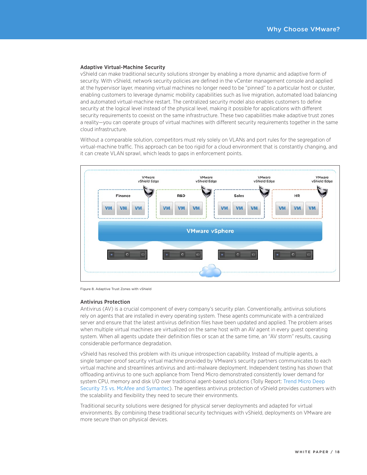#### Adaptive Virtual-Machine Security

vShield can make traditional security solutions stronger by enabling a more dynamic and adaptive form of security. With vShield, network security policies are defined in the vCenter management console and applied at the hypervisor layer, meaning virtual machines no longer need to be "pinned" to a particular host or cluster, enabling customers to leverage dynamic mobility capabilities such as live migration, automated load balancing and automated virtual-machine restart. The centralized security model also enables customers to define security at the logical level instead of the physical level, making it possible for applications with different security requirements to coexist on the same infrastructure. These two capabilities make adaptive trust zones a reality-you can operate groups of virtual machines with different security requirements together in the same cloud infrastructure.

Without a comparable solution, competitors must rely solely on VLANs and port rules for the segregation of virtual-machine traffic. This approach can be too rigid for a cloud environment that is constantly changing, and it can create VLAN sprawl, which leads to gaps in enforcement points.



Figure 8. Adaptive Trust Zones with vShield

#### Antivirus Protection

Antivirus (AV) is a crucial component of every company's security plan. Conventionally, antivirus solutions rely on agents that are installed in every operating system. These agents communicate with a centralized server and ensure that the latest antivirus definition files have been updated and applied. The problem arises when multiple virtual machines are virtualized on the same host with an AV agent in every guest operating system. When all agents update their definition files or scan at the same time, an "AV storm" results, causing considerable performance degradation.

vShield has resolved this problem with its unique introspection capability. Instead of multiple agents, a single tamper-proof security virtual machine provided by VMware's security partners communicates to each virtual machine and streamlines antivirus and anti-malware deployment. Independent testing has shown that offloading antivirus to one such appliance from Trend Micro demonstrated consistently lower demand for system CPU, memory and disk I/O over traditional agent-based solutions (Tolly Report: [Trend Micro Deep](http://us.trendmicro.com/imperia/md/content/us/pdf/products/enterprise/tolly211101trenddeepsecurityvmwareavperformance.pdf)  [Security 7.5 vs. McAfee and Symantec](http://us.trendmicro.com/imperia/md/content/us/pdf/products/enterprise/tolly211101trenddeepsecurityvmwareavperformance.pdf)). The agentless antivirus protection of vShield provides customers with the scalability and flexibility they need to secure their environments.

Traditional security solutions were designed for physical server deployments and adapted for virtual environments. By combining these traditional security techniques with vShield, deployments on VMware are more secure than on physical devices.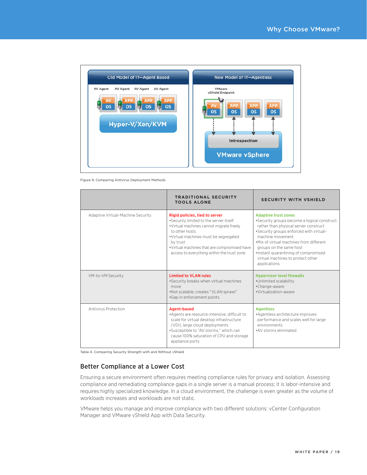

Figure 9. Comparing Antivirus Deployment Methods

|                                   | <b>TRADITIONAL SECURITY</b><br><b>TOOLS ALONE</b>                                                                                                                                                                                                                                       | <b>SECURITY WITH VSHIELD</b>                                                                                                                                                                                                                                                                                                                          |
|-----------------------------------|-----------------------------------------------------------------------------------------------------------------------------------------------------------------------------------------------------------------------------------------------------------------------------------------|-------------------------------------------------------------------------------------------------------------------------------------------------------------------------------------------------------------------------------------------------------------------------------------------------------------------------------------------------------|
| Adaptive Virtual-Machine Security | Rigid policies, tied to server<br>•Security limited to the server itself<br>.Virtual machines cannot migrate freely<br>to other hosts<br>•Virtual machines must be segregated<br>by trust<br>. Virtual machines that are compromised have<br>access to everything within the trust zone | <b>Adaptive trust zones</b><br>•Security groups become a logical construct<br>rather than physical server construct<br>•Security groups enforced with virtual-<br>machine movement<br>.Mix of virtual machines from different<br>groups on the same host<br>·Instant quarantining of compromised<br>virtual machines to protect other<br>applications |
| VM-to-VM Security                 | <b>Limited to VLAN rules</b><br>•Security breaks when virtual machines<br>move<br>•Not scalable; creates "VLAN sprawl"<br>•Gap in enforcement points                                                                                                                                    | <b>Hypervisor-level firewalls</b><br>•Unlimited scalability<br>•Change-aware<br>·Virtualization-aware                                                                                                                                                                                                                                                 |
| <b>Antivirus Protection</b>       | Agent-based<br>•Agents are resource-intensive; difficult to<br>scale for virtual desktop infrastructure<br>(VDI), large cloud deployments<br>•Susceptible to "AV storms," which can<br>cause 100% saturation of CPU and storage<br>appliance ports                                      | <b>Agentless</b><br>• Agentless architecture improves<br>performance and scales well for large<br>environments<br>• AV storms eliminated                                                                                                                                                                                                              |

Table 4. Comparing Security Strength with and Without vShield

# **Better Compliance at a Lower Cost**

Ensuring a secure environment often requires meeting compliance rules for privacy and isolation. Assessing compliance and remediating compliance gaps in a single server is a manual process; it is labor-intensive and requires highly specialized knowledge. In a cloud environment, the challenge is even greater as the volume of workloads increases and workloads are not static.

<span id="page-18-0"></span>VMware helps you manage and improve compliance with two different solutions: vCenter Configuration Manager and VMware vShield App with Data Security.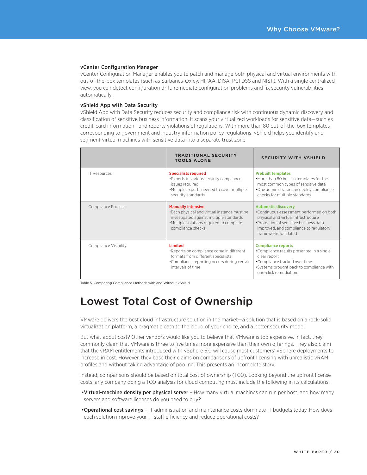#### vCenter Configuration Manager

vCenter Configuration Manager enables you to patch and manage both physical and virtual environments with out-of-the-box templates (such as Sarbanes-Oxley, HIPAA, DISA, PCI DSS and NIST). With a single centralized view, you can detect configuration drift, remediate configuration problems and fix security vulnerabilities automatically.

#### vShield App with Data Security

vShield App with Data Security reduces security and compliance risk with continuous dynamic discovery and classification of sensitive business information. It scans your virtualized workloads for sensitive data—such as credit-card information—and reports violations of regulations. With more than 80 out-of-the-box templates corresponding to government and industry information policy regulations, vShield helps you identify and segment virtual machines with sensitive data into a separate trust zone.

|                       | <b>TRADITIONAL SECURITY</b><br><b>TOOLS ALONE</b>                                                                                                                                     | <b>SECURITY WITH VSHIELD</b>                                                                                                                                                                                              |
|-----------------------|---------------------------------------------------------------------------------------------------------------------------------------------------------------------------------------|---------------------------------------------------------------------------------------------------------------------------------------------------------------------------------------------------------------------------|
| <b>IT Resources</b>   | <b>Specialists required</b><br>• Experts in various security compliance<br>issues required<br>•Multiple experts needed to cover multiple<br>security standards                        | <b>Prebuilt templates</b><br>.More than 80 built-in templates for the<br>most common types of sensitive data<br>•One administrator can deploy compliance<br>checks for multiple standards                                 |
| Compliance Process    | <b>Manually intensive</b><br>. Each physical and virtual instance must be<br>investigated against multiple standards<br>•Multiple solutions required to complete<br>compliance checks | <b>Automatic discovery</b><br>•Continuous assessment performed on both<br>physical and virtual infrastructure<br>•Protection of sensitive business data<br>improved, and compliance to regulatory<br>frameworks validated |
| Compliance Visibility | <b>Limited</b><br>•Reports on compliance come in different<br>formats from different specialists<br>•Compliance reporting occurs during certain<br>intervals of time                  | <b>Compliance reports</b><br>•Compliance results presented in a single,<br>clear report<br>•Compliance tracked over time<br>•Systems brought back to compliance with<br>one-click remediation                             |

Table 5. Comparing Compliance Methods with and Without vShield

# Lowest Total Cost of Ownership

VMware delivers the best cloud infrastructure solution in the market—a solution that is based on a rock-solid virtualization platform, a pragmatic path to the cloud of your choice, and a better security model.

But what about cost? Other vendors would like you to believe that VMware is too expensive. In fact, they commonly claim that VMware is three to five times more expensive than their own offerings. They also claim that the vRAM entitlements introduced with vSphere 5.0 will cause most customers' vSphere deployments to increase in cost. However, they base their claims on comparisons of upfront licensing with unrealistic vRAM profiles and without taking advantage of pooling. This presents an incomplete story.

Instead, comparisons should be based on total cost of ownership (TCO). Looking beyond the upfront license costs, any company doing a TCO analysis for cloud computing must include the following in its calculations:

- •Virtual-machine density per physical server How many virtual machines can run per host, and how many servers and software licenses do you need to buy?
- <span id="page-19-0"></span>•**Operational cost savings** – IT administration and maintenance costs dominate IT budgets today. How does each solution improve your IT staff efficiency and reduce operational costs?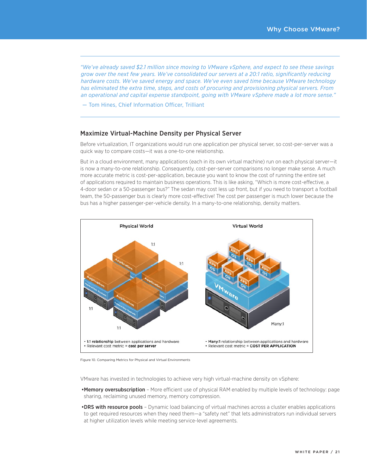*"We've already saved \$2.1 million since moving to VMware vSphere, and expect to see these savings grow over the next few years. We've consolidated our servers at a 20:1 ratio, significantly reducing hardware costs. We've saved energy and space. We've even saved time because VMware technology has eliminated the extra time, steps, and costs of procuring and provisioning physical servers. From an operational and capital expense standpoint, going with VMware vSphere made a lot more sense."*

— Tom Hines, Chief Information Officer, Trilliant

## Maximize Virtual-Machine Density per Physical Server

Before virtualization, IT organizations would run one application per physical server, so cost-per-server was a quick way to compare costs—it was a one-to-one relationship.

But in a cloud environment, many applications (each in its own virtual machine) run on each physical server—it is now a many-to-one relationship. Consequently, cost-per-server comparisons no longer make sense. A much more accurate metric is cost-per-application, because you want to know the cost of running the entire set of applications required to maintain business operations. This is like asking, "Which is more cost-effective, a 4-door sedan or a 50-passenger bus?" The sedan may cost less up front, but if you need to transport a football team, the 50-passenger bus is clearly more cost-effective! The cost per passenger is much lower because the bus has a higher passenger-per-vehicle density. In a many-to-one relationship, density matters.



Figure 10. Comparing Metrics for Physical and Virtual Environments

VMware has invested in technologies to achieve very high virtual-machine density on vSphere:

- . Memory oversubscription More efficient use of physical RAM enabled by multiple levels of technology: page sharing, reclaiming unused memory, memory compression.
- <span id="page-20-0"></span>• DRS with resource pools - Dynamic load balancing of virtual machines across a cluster enables applications to get required resources when they need them—a "safety net" that lets administrators run individual servers at higher utilization levels while meeting service-level agreements.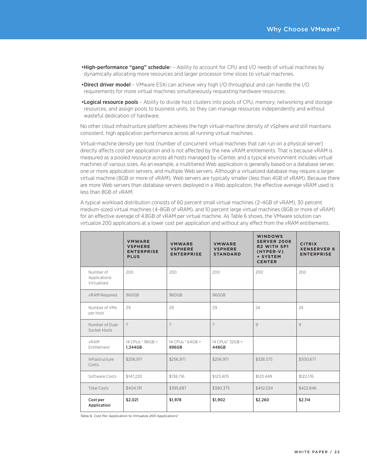- . High-performance "gang" scheduler Ability to account for CPU and I/O needs of virtual machines by dynamically allocating more resources and larger processor time slices to virtual machines.
- •Direct driver model VMware ESXi can achieve very high I/O throughput and can handle the I/O requirements for more virtual machines simultaneously requesting hardware resources.
- . Logical resource pools Ability to divide host clusters into pools of CPU, memory, networking and storage resources, and assign pools to business units, so they can manage resources independently and without wasteful dedication of hardware.

No other cloud infrastructure platform achieves the high virtual-machine density of vSphere and still maintains consistent, high application performance across all running virtual machines.

Virtual-machine density per host (number of concurrent virtual machines that can run on a physical server) directly affects cost per application and is not affected by the new vRAM entitlements. That is because vRAM is measured as a pooled resource across all hosts managed by vCenter, and a typical environment includes virtual machines of various sizes. As an example, a multitiered Web application is generally based on a database server, one or more application servers, and multiple Web servers. Although a virtualized database may require a larger virtual machine (8GB or more of vRAM), Web servers are typically smaller (less than 4GB of vRAM). Because there are more Web servers than database servers deployed in a Web application, the effective average vRAM used is less than 8GB of vRAM.

A typical workload distribution consists of 60 percent small virtual machines (2-4GB of vRAM), 30 percent medium-sized virtual machines (4-8GB of vRAM), and 10 percent large virtual machines (8GB or more of vRAM) for an effective average of 4.8GB of vRAM per virtual machine. As Table 6 shows, the VMware solution can virtualize 200 applications at a lower cost per application and without any effect from the vRAM entitlements.

|                                          | <b>VMWARE</b><br><b>VSPHERE</b><br><b>ENTERPRISE</b><br><b>PLUS</b> | <b>VMWARE</b><br><b>VSPHERE</b><br><b>ENTERPRISE</b> | <b>VMWARE</b><br><b>VSPHERE</b><br><b>STANDARD</b> | <b>WINDOWS</b><br><b>SERVER 2008</b><br><b>R2 WITH SP1</b><br>(HYPER-V)<br>+ SYSTEM<br><b>CENTER</b> | <b>CITRIX</b><br><b>XENSERVER 6</b><br><b>ENTERPRISE</b> |
|------------------------------------------|---------------------------------------------------------------------|------------------------------------------------------|----------------------------------------------------|------------------------------------------------------------------------------------------------------|----------------------------------------------------------|
| Number of<br>Applications<br>Virtualized | 200                                                                 | 200                                                  | 200                                                | 200                                                                                                  | 200                                                      |
| vRAM Required                            | 960GB                                                               | 960GB                                                | 960GB                                              |                                                                                                      |                                                          |
| Number of VMs<br>per Host                | 29                                                                  | 29                                                   | 29                                                 | 24                                                                                                   | 24                                                       |
| Number of Dual-<br>Socket Hosts          | $7\overline{ }$                                                     | 7                                                    | $\overline{7}$                                     | 9                                                                                                    | 9                                                        |
| <b>vRAM</b><br><b>Fntitlement</b>        | 14 CPUs * 96GB =<br>1,344GB                                         | 14 CPUs * 64GB =<br>896GB                            | 14 CPUs* 32GB =<br>448GB                           |                                                                                                      |                                                          |
| Infrastructure<br>Costs                  | \$256,971                                                           | \$256,971                                            | \$256,971                                          | \$328,575                                                                                            | \$300,671                                                |
| Software Costs                           | \$147.220                                                           | \$138,716                                            | \$123,405                                          | \$123,449                                                                                            | \$122.176                                                |
| <b>Total Costs</b>                       | \$404,191                                                           | \$395,687                                            | \$380,375                                          | \$452,024                                                                                            | \$422,846                                                |
| Cost per<br>Application                  | \$2,021                                                             | \$1,978                                              | \$1,902                                            | \$2,260                                                                                              | \$2,114                                                  |

Table 6. Cost Per Application to Virtualize 200 Applications<sup>1</sup>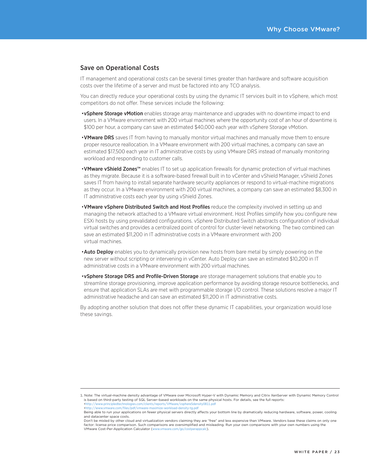### Save on Operational Costs

IT management and operational costs can be several times greater than hardware and software acquisition costs over the lifetime of a server and must be factored into any TCO analysis.

You can directly reduce your operational costs by using the dynamic IT services built in to vSphere, which most competitors do not offer. These services include the following:

- vSphere Storage vMotion enables storage array maintenance and upgrades with no downtime impact to end users. In a VMware environment with 200 virtual machines where the opportunity cost of an hour of downtime is \$100 per hour, a company can save an estimated \$40,000 each year with vSphere Storage vMotion.
- VMware DRS saves IT from having to manually monitor virtual machines and manually move them to ensure proper resource reallocation. In a VMware environment with 200 virtual machines, a company can save an estimated \$17,500 each year in IT administrative costs by using VMware DRS instead of manually monitoring workload and responding to customer calls.
- VMware vShield Zones™ enables IT to set up application firewalls for dynamic protection of virtual machines as they migrate. Because it is a software-based firewall built in to vCenter and vShield Manager, vShield Zones saves IT from having to install separate hardware security appliances or respond to virtual-machine migrations as they occur. In a VMware environment with 200 virtual machines, a company can save an estimated \$8,300 in IT administrative costs each year by using vShield Zones.
- VMware vSphere Distributed Switch and Host Profiles reduce the complexity involved in setting up and managing the network attached to a VMware virtual environment. Host Profiles simplify how you configure new ESXi hosts by using prevalidated configurations. vSphere Distributed Switch abstracts configuration of individual virtual switches and provides a centralized point of control for cluster-level networking. The two combined can save an estimated \$11,200 in IT administrative costs in a VMware environment with 200 virtual machines.
- Auto Deploy enables you to dynamically provision new hosts from bare metal by simply powering on the new server without scripting or intervening in vCenter. Auto Deploy can save an estimated \$10,200 in IT administrative costs in a VMware environment with 200 virtual machines.
- vSphere Storage DRS and Profile-Driven Storage are storage management solutions that enable you to streamline storage provisioning, improve application performance by avoiding storage resource bottlenecks, and ensure that application SLAs are met with programmable storage I/O control. These solutions resolve a major IT administrative headache and can save an estimated \$11,200 in IT administrative costs.

By adopting another solution that does not offer these dynamic IT capabilities, your organization would lose these savings.

<sup>1.</sup> Note: The virtual-machine density advantage of VMware over Microsoft Hyper-V with Dynamic Memory and Citrix XenServer with Dynamic Memory Control is based on third-party testing of SQL Server–based workloads on the same physical hosts. For details, see the full reports:

<sup>•</sup><http://www.principledtechnologies.com/clients/reports/VMware/vsphere5density0811.pdf> •<http://www.vmware.com/files/pdf/vmware-maximize-workload-density-tg.pdf>

Being able to run your applications on fewer physical servers directly a(ects your bottom line by dramatically reducing hardware, software, power, cooling and datacenter space costs.

<span id="page-22-0"></span>Don't be misled by other cloud and virtualization vendors claiming they are "free" and less expensive than VMware. Vendors base these claims on only one factor: license price comparison. Such comparisons are oversimplified and misleading. Run your own comparisons with your own numbers using the VMware Cost-Per-Application Calculator (<www.vmware.com/go/costperappcalc>).